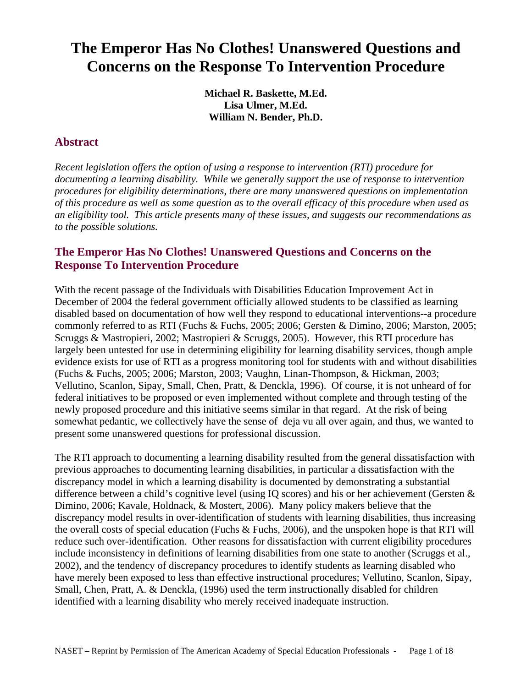# <span id="page-0-0"></span>**The Emperor Has No Clothes! Unanswered Questions and Concerns on the Response To Intervention Procedure**

**Michael R. Baskette, M.Ed. Lisa Ulmer, M.Ed. William N. Bender, Ph.D.** 

## **Abstract**

*Recent legislation offers the option of using a response to intervention (RTI) procedure for documenting a learning disability. While we generally support the use of response to intervention procedures for eligibility determinations, there are many unanswered questions on implementation of this procedure as well as some question as to the overall efficacy of this procedure when used as an eligibility tool. This article presents many of these issues, and suggests our recommendations as to the possible solutions.*

### **The Emperor Has No Clothes! Unanswered Questions and Concerns on the Response To Intervention Procedure**

With the recent passage of the Individuals with Disabilities Education Improvement Act in December of 2004 the federal government officially allowed students to be classified as learning disabled based on documentation of how well they respond to educational interventions--a procedure commonly referred to as RTI (Fuchs & Fuchs, 2005; 2006; Gersten & Dimino, 2006; Marston, 2005; Scruggs & Mastropieri, 2002; Mastropieri & Scruggs, 2005). However, this RTI procedure has largely been untested for use in determining eligibility for learning disability services, though ample evidence exists for use of RTI as a progress monitoring tool for students with and without disabilities (Fuchs & Fuchs, 2005; 2006; Marston, 2003; Vaughn, Linan-Thompson, & Hickman, 2003; Vellutino, Scanlon, Sipay, Small, Chen, Pratt, & Denckla, 1996). Of course, it is not unheard of for federal initiatives to be proposed or even implemented without complete and through testing of the newly proposed procedure and this initiative seems similar in that regard. At the risk of being somewhat pedantic, we collectively have the sense of deja vu all over again, and thus, we wanted to present some unanswered questions for professional discussion.

The RTI approach to documenting a learning disability resulted from the general dissatisfaction with previous approaches to documenting learning disabilities, in particular a dissatisfaction with the discrepancy model in which a learning disability is documented by demonstrating a substantial difference between a child's cognitive level (using IQ scores) and his or her achievement (Gersten & Dimino, 2006; Kavale, Holdnack, & Mostert, 2006). Many policy makers believe that the discrepancy model results in over-identification of students with learning disabilities, thus increasing the overall costs of special education (Fuchs & Fuchs, 2006), and the unspoken hope is that RTI will reduce such over-identification. Other reasons for dissatisfaction with current eligibility procedures include inconsistency in definitions of learning disabilities from one state to another (Scruggs et al., 2002), and the tendency of discrepancy procedures to identify students as learning disabled who have merely been exposed to less than effective instructional procedures; Vellutino, Scanlon, Sipay, Small, Chen, Pratt, A. & Denckla, (1996) used the term instructionally disabled for children identified with a learning disability who merely received inadequate instruction.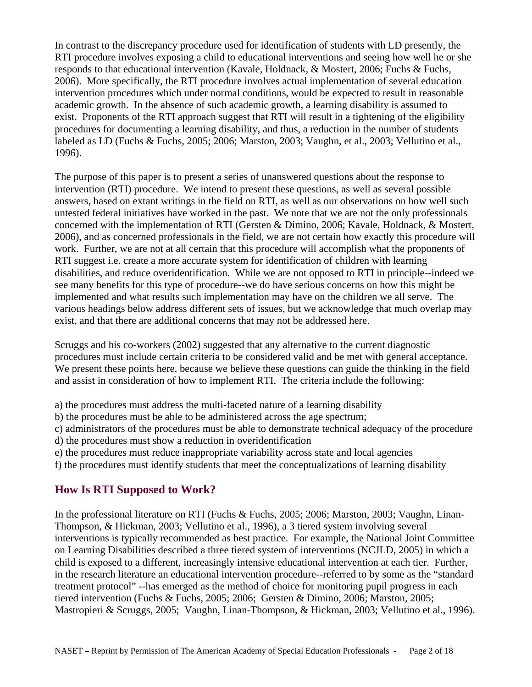In contrast to the discrepancy procedure used for identification of students with LD presently, the RTI procedure involves exposing a child to educational interventions and seeing how well he or she responds to that educational intervention (Kavale, Holdnack, & Mostert, 2006; Fuchs & Fuchs, 2006). More specifically, the RTI procedure involves actual implementation of several education intervention procedures which under normal conditions, would be expected to result in reasonable academic growth. In the absence of such academic growth, a learning disability is assumed to exist. Proponents of the RTI approach suggest that RTI will result in a tightening of the eligibility procedures for documenting a learning disability, and thus, a reduction in the number of students labeled as LD (Fuchs & Fuchs, 2005; 2006; Marston, 2003; Vaughn, et al., 2003; Vellutino et al., 1996).

The purpose of this paper is to present a series of unanswered questions about the response to intervention (RTI) procedure. We intend to present these questions, as well as several possible answers, based on extant writings in the field on RTI, as well as our observations on how well such untested federal initiatives have worked in the past. We note that we are not the only professionals concerned with the implementation of RTI (Gersten & Dimino, 2006; Kavale, Holdnack, & Mostert, 2006), and as concerned professionals in the field, we are not certain how exactly this procedure will work. Further, we are not at all certain that this procedure will accomplish what the proponents of RTI suggest i.e. create a more accurate system for identification of children with learning disabilities, and reduce overidentification. While we are not opposed to RTI in principle--indeed we see many benefits for this type of procedure--we do have serious concerns on how this might be implemented and what results such implementation may have on the children we all serve. The various headings below address different sets of issues, but we acknowledge that much overlap may exist, and that there are additional concerns that may not be addressed here.

Scruggs and his co-workers (2002) suggested that any alternative to the current diagnostic procedures must include certain criteria to be considered valid and be met with general acceptance. We present these points here, because we believe these questions can guide the thinking in the field and assist in consideration of how to implement RTI. The criteria include the following:

- a) the procedures must address the multi-faceted nature of a learning disability
- b) the procedures must be able to be administered across the age spectrum;
- c) administrators of the procedures must be able to demonstrate technical adequacy of the procedure
- d) the procedures must show a reduction in overidentification
- e) the procedures must reduce inappropriate variability across state and local agencies
- f) the procedures must identify students that meet the conceptualizations of learning disability

## **How Is RTI Supposed to Work?**

In the professional literature on RTI (Fuchs & Fuchs, 2005; 2006; Marston, 2003; Vaughn, Linan-Thompson, & Hickman, 2003; Vellutino et al., 1996), a 3 tiered system involving several interventions is typically recommended as best practice. For example, the National Joint Committee on Learning Disabilities described a three tiered system of interventions (NCJLD, 2005) in which a child is exposed to a different, increasingly intensive educational intervention at each tier. Further, in the research literature an educational intervention procedure--referred to by some as the "standard treatment protocol" --has emerged as the method of choice for monitoring pupil progress in each tiered intervention (Fuchs & Fuchs, 2005; 2006; Gersten & Dimino, 2006; Marston, 2005; Mastropieri & Scruggs, 2005; Vaughn, Linan-Thompson, & Hickman, 2003; Vellutino et al., 1996).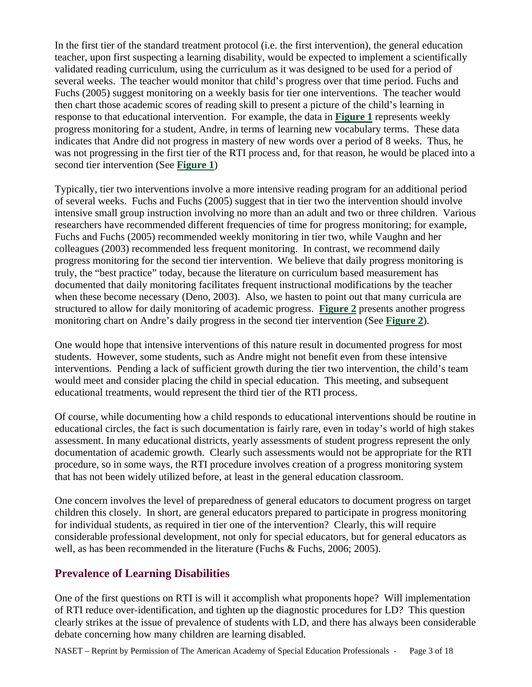In the first tier of the standard treatment protocol (i.e. the first intervention), the general education teacher, upon first suspecting a learning disability, would be expected to implement a scientifically validated reading curriculum, using the curriculum as it was designed to be used for a period of several weeks. The teacher would monitor that child's progress over that time period. Fuchs and Fuchs (2005) suggest monitoring on a weekly basis for tier one interventions. The teacher would then chart those academic scores of reading skill to present a picture of the child's learning in response to that educational intervention. For example, the data in **[Figure 1](#page-14-0)** represents weekly progress monitoring for a student, Andre, in terms of learning new vocabulary terms. These data indicates that Andre did not progress in mastery of new words over a period of 8 weeks. Thus, he was not progressing in the first tier of the RTI process and, for that reason, he would be placed into a second tier intervention (See **[Figure 1](#page-14-0)**)

Typically, tier two interventions involve a more intensive reading program for an additional period of several weeks. Fuchs and Fuchs (2005) suggest that in tier two the intervention should involve intensive small group instruction involving no more than an adult and two or three children. Various researchers have recommended different frequencies of time for progress monitoring; for example, Fuchs and Fuchs (2005) recommended weekly monitoring in tier two, while Vaughn and her colleagues (2003) recommended less frequent monitoring. In contrast, we recommend daily progress monitoring for the second tier intervention. We believe that daily progress monitoring is truly, the "best practice" today, because the literature on curriculum based measurement has documented that daily monitoring facilitates frequent instructional modifications by the teacher when these become necessary (Deno, 2003). Also, we hasten to point out that many curricula are structured to allow for daily monitoring of academic progress. **[Figure 2](#page-14-0)** presents another progress monitoring chart on Andre's daily progress in the second tier intervention (See **[Figure 2](#page-14-0)**).

One would hope that intensive interventions of this nature result in documented progress for most students. However, some students, such as Andre might not benefit even from these intensive interventions. Pending a lack of sufficient growth during the tier two intervention, the child's team would meet and consider placing the child in special education. This meeting, and subsequent educational treatments, would represent the third tier of the RTI process.

Of course, while documenting how a child responds to educational interventions should be routine in educational circles, the fact is such documentation is fairly rare, even in today's world of high stakes assessment. In many educational districts, yearly assessments of student progress represent the only documentation of academic growth. Clearly such assessments would not be appropriate for the RTI procedure, so in some ways, the RTI procedure involves creation of a progress monitoring system that has not been widely utilized before, at least in the general education classroom.

One concern involves the level of preparedness of general educators to document progress on target children this closely. In short, are general educators prepared to participate in progress monitoring for individual students, as required in tier one of the intervention? Clearly, this will require considerable professional development, not only for special educators, but for general educators as well, as has been recommended in the literature (Fuchs & Fuchs, 2006; 2005).

### **Prevalence of Learning Disabilities**

One of the first questions on RTI is will it accomplish what proponents hope? Will implementation of RTI reduce over-identification, and tighten up the diagnostic procedures for LD? This question clearly strikes at the issue of prevalence of students with LD, and there has always been considerable debate concerning how many children are learning disabled.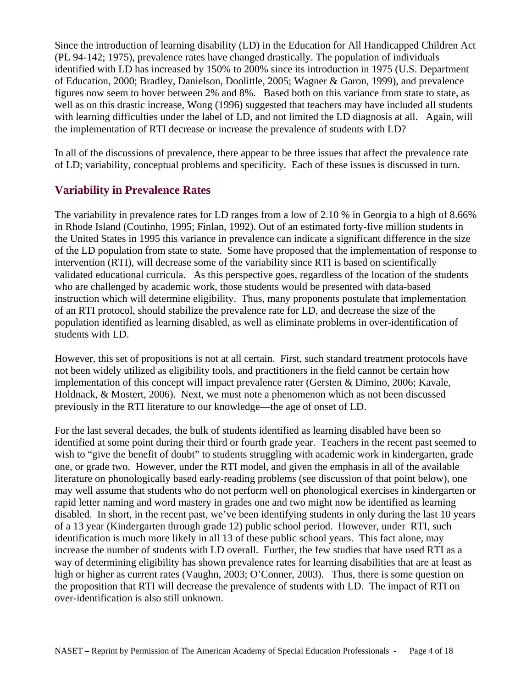Since the introduction of learning disability (LD) in the Education for All Handicapped Children Act (PL 94-142; 1975), prevalence rates have changed drastically. The population of individuals identified with LD has increased by 150% to 200% since its introduction in 1975 (U.S. Department of Education, 2000; Bradley, Danielson, Doolittle, 2005; Wagner & Garon, 1999), and prevalence figures now seem to hover between 2% and 8%. Based both on this variance from state to state, as well as on this drastic increase, Wong (1996) suggested that teachers may have included all students with learning difficulties under the label of LD, and not limited the LD diagnosis at all. Again, will the implementation of RTI decrease or increase the prevalence of students with LD?

In all of the discussions of prevalence, there appear to be three issues that affect the prevalence rate of LD; variability, conceptual problems and specificity. Each of these issues is discussed in turn.

## **Variability in Prevalence Rates**

The variability in prevalence rates for LD ranges from a low of 2.10 % in Georgia to a high of 8.66% in Rhode Island (Coutinho, 1995; Finlan, 1992). Out of an estimated forty-five million students in the United States in 1995 this variance in prevalence can indicate a significant difference in the size of the LD population from state to state. Some have proposed that the implementation of response to intervention (RTI), will decrease some of the variability since RTI is based on scientifically validated educational curricula. As this perspective goes, regardless of the location of the students who are challenged by academic work, those students would be presented with data-based instruction which will determine eligibility. Thus, many proponents postulate that implementation of an RTI protocol, should stabilize the prevalence rate for LD, and decrease the size of the population identified as learning disabled, as well as eliminate problems in over-identification of students with LD.

However, this set of propositions is not at all certain. First, such standard treatment protocols have not been widely utilized as eligibility tools, and practitioners in the field cannot be certain how implementation of this concept will impact prevalence rater (Gersten & Dimino, 2006; Kavale, Holdnack, & Mostert, 2006). Next, we must note a phenomenon which as not been discussed previously in the RTI literature to our knowledge—the age of onset of LD.

For the last several decades, the bulk of students identified as learning disabled have been so identified at some point during their third or fourth grade year. Teachers in the recent past seemed to wish to "give the benefit of doubt" to students struggling with academic work in kindergarten, grade one, or grade two. However, under the RTI model, and given the emphasis in all of the available literature on phonologically based early-reading problems (see discussion of that point below), one may well assume that students who do not perform well on phonological exercises in kindergarten or rapid letter naming and word mastery in grades one and two might now be identified as learning disabled. In short, in the recent past, we've been identifying students in only during the last 10 years of a 13 year (Kindergarten through grade 12) public school period. However, under RTI, such identification is much more likely in all 13 of these public school years. This fact alone, may increase the number of students with LD overall. Further, the few studies that have used RTI as a way of determining eligibility has shown prevalence rates for learning disabilities that are at least as high or higher as current rates (Vaughn, 2003; O'Conner, 2003). Thus, there is some question on the proposition that RTI will decrease the prevalence of students with LD. The impact of RTI on over-identification is also still unknown.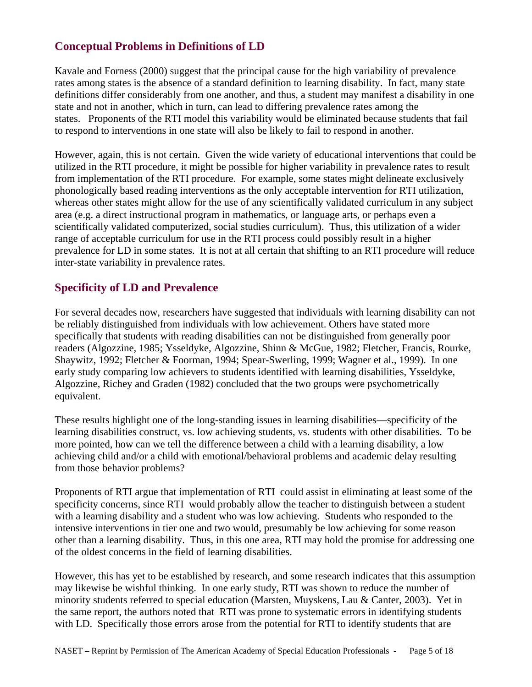### **Conceptual Problems in Definitions of LD**

Kavale and Forness (2000) suggest that the principal cause for the high variability of prevalence rates among states is the absence of a standard definition to learning disability. In fact, many state definitions differ considerably from one another, and thus, a student may manifest a disability in one state and not in another, which in turn, can lead to differing prevalence rates among the states. Proponents of the RTI model this variability would be eliminated because students that fail to respond to interventions in one state will also be likely to fail to respond in another.

However, again, this is not certain. Given the wide variety of educational interventions that could be utilized in the RTI procedure, it might be possible for higher variability in prevalence rates to result from implementation of the RTI procedure. For example, some states might delineate exclusively phonologically based reading interventions as the only acceptable intervention for RTI utilization, whereas other states might allow for the use of any scientifically validated curriculum in any subject area (e.g. a direct instructional program in mathematics, or language arts, or perhaps even a scientifically validated computerized, social studies curriculum). Thus, this utilization of a wider range of acceptable curriculum for use in the RTI process could possibly result in a higher prevalence for LD in some states. It is not at all certain that shifting to an RTI procedure will reduce inter-state variability in prevalence rates.

### **Specificity of LD and Prevalence**

For several decades now, researchers have suggested that individuals with learning disability can not be reliably distinguished from individuals with low achievement. Others have stated more specifically that students with reading disabilities can not be distinguished from generally poor readers (Algozzine, 1985; Ysseldyke, Algozzine, Shinn & McGue, 1982; Fletcher, Francis, Rourke, Shaywitz, 1992; Fletcher & Foorman, 1994; Spear-Swerling, 1999; Wagner et al., 1999). In one early study comparing low achievers to students identified with learning disabilities, Ysseldyke, Algozzine, Richey and Graden (1982) concluded that the two groups were psychometrically equivalent.

These results highlight one of the long-standing issues in learning disabilities—specificity of the learning disabilities construct, vs. low achieving students, vs. students with other disabilities. To be more pointed, how can we tell the difference between a child with a learning disability, a low achieving child and/or a child with emotional/behavioral problems and academic delay resulting from those behavior problems?

Proponents of RTI argue that implementation of RTI could assist in eliminating at least some of the specificity concerns, since RTI would probably allow the teacher to distinguish between a student with a learning disability and a student who was low achieving. Students who responded to the intensive interventions in tier one and two would, presumably be low achieving for some reason other than a learning disability. Thus, in this one area, RTI may hold the promise for addressing one of the oldest concerns in the field of learning disabilities.

However, this has yet to be established by research, and some research indicates that this assumption may likewise be wishful thinking. In one early study, RTI was shown to reduce the number of minority students referred to special education (Marsten, Muyskens, Lau & Canter, 2003). Yet in the same report, the authors noted that RTI was prone to systematic errors in identifying students with LD. Specifically those errors arose from the potential for RTI to identify students that are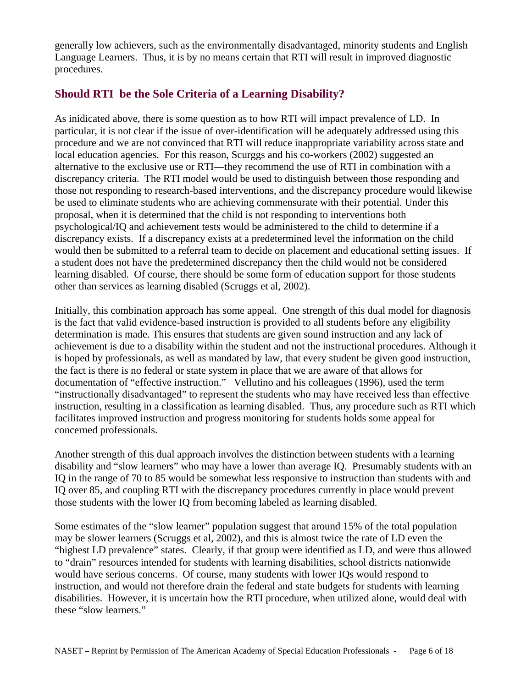generally low achievers, such as the environmentally disadvantaged, minority students and English Language Learners. Thus, it is by no means certain that RTI will result in improved diagnostic procedures.

## **Should RTI be the Sole Criteria of a Learning Disability?**

As inidicated above, there is some question as to how RTI will impact prevalence of LD. In particular, it is not clear if the issue of over-identification will be adequately addressed using this procedure and we are not convinced that RTI will reduce inappropriate variability across state and local education agencies. For this reason, Scurggs and his co-workers (2002) suggested an alternative to the exclusive use or RTI—they recommend the use of RTI in combination with a discrepancy criteria. The RTI model would be used to distinguish between those responding and those not responding to research-based interventions, and the discrepancy procedure would likewise be used to eliminate students who are achieving commensurate with their potential. Under this proposal, when it is determined that the child is not responding to interventions both psychological/IQ and achievement tests would be administered to the child to determine if a discrepancy exists. If a discrepancy exists at a predetermined level the information on the child would then be submitted to a referral team to decide on placement and educational setting issues. If a student does not have the predetermined discrepancy then the child would not be considered learning disabled. Of course, there should be some form of education support for those students other than services as learning disabled (Scruggs et al, 2002).

Initially, this combination approach has some appeal. One strength of this dual model for diagnosis is the fact that valid evidence-based instruction is provided to all students before any eligibility determination is made. This ensures that students are given sound instruction and any lack of achievement is due to a disability within the student and not the instructional procedures. Although it is hoped by professionals, as well as mandated by law, that every student be given good instruction, the fact is there is no federal or state system in place that we are aware of that allows for documentation of "effective instruction." Vellutino and his colleagues (1996), used the term "instructionally disadvantaged" to represent the students who may have received less than effective instruction, resulting in a classification as learning disabled. Thus, any procedure such as RTI which facilitates improved instruction and progress monitoring for students holds some appeal for concerned professionals.

Another strength of this dual approach involves the distinction between students with a learning disability and "slow learners" who may have a lower than average IQ. Presumably students with an IQ in the range of 70 to 85 would be somewhat less responsive to instruction than students with and IQ over 85, and coupling RTI with the discrepancy procedures currently in place would prevent those students with the lower IQ from becoming labeled as learning disabled.

Some estimates of the "slow learner" population suggest that around 15% of the total population may be slower learners (Scruggs et al, 2002), and this is almost twice the rate of LD even the "highest LD prevalence" states. Clearly, if that group were identified as LD, and were thus allowed to "drain" resources intended for students with learning disabilities, school districts nationwide would have serious concerns. Of course, many students with lower IQs would respond to instruction, and would not therefore drain the federal and state budgets for students with learning disabilities. However, it is uncertain how the RTI procedure, when utilized alone, would deal with these "slow learners."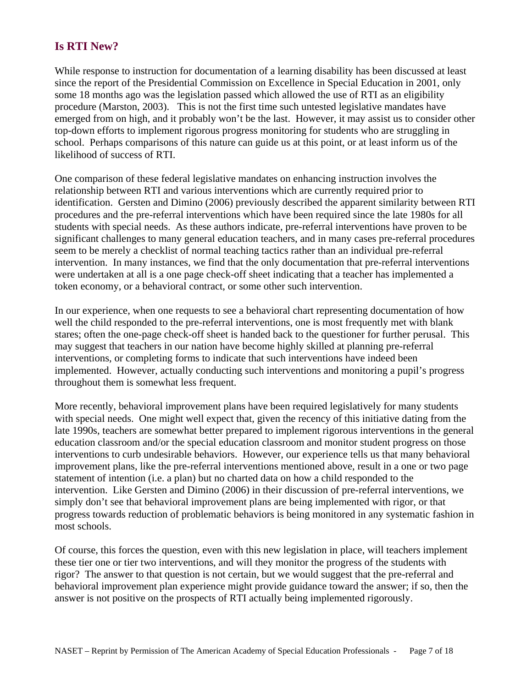## **Is RTI New?**

While response to instruction for documentation of a learning disability has been discussed at least since the report of the Presidential Commission on Excellence in Special Education in 2001, only some 18 months ago was the legislation passed which allowed the use of RTI as an eligibility procedure (Marston, 2003). This is not the first time such untested legislative mandates have emerged from on high, and it probably won't be the last. However, it may assist us to consider other top-down efforts to implement rigorous progress monitoring for students who are struggling in school. Perhaps comparisons of this nature can guide us at this point, or at least inform us of the likelihood of success of RTI.

One comparison of these federal legislative mandates on enhancing instruction involves the relationship between RTI and various interventions which are currently required prior to identification. Gersten and Dimino (2006) previously described the apparent similarity between RTI procedures and the pre-referral interventions which have been required since the late 1980s for all students with special needs. As these authors indicate, pre-referral interventions have proven to be significant challenges to many general education teachers, and in many cases pre-referral procedures seem to be merely a checklist of normal teaching tactics rather than an individual pre-referral intervention. In many instances, we find that the only documentation that pre-referral interventions were undertaken at all is a one page check-off sheet indicating that a teacher has implemented a token economy, or a behavioral contract, or some other such intervention.

In our experience, when one requests to see a behavioral chart representing documentation of how well the child responded to the pre-referral interventions, one is most frequently met with blank stares; often the one-page check-off sheet is handed back to the questioner for further perusal. This may suggest that teachers in our nation have become highly skilled at planning pre-referral interventions, or completing forms to indicate that such interventions have indeed been implemented. However, actually conducting such interventions and monitoring a pupil's progress throughout them is somewhat less frequent.

More recently, behavioral improvement plans have been required legislatively for many students with special needs. One might well expect that, given the recency of this initiative dating from the late 1990s, teachers are somewhat better prepared to implement rigorous interventions in the general education classroom and/or the special education classroom and monitor student progress on those interventions to curb undesirable behaviors. However, our experience tells us that many behavioral improvement plans, like the pre-referral interventions mentioned above, result in a one or two page statement of intention (i.e. a plan) but no charted data on how a child responded to the intervention. Like Gersten and Dimino (2006) in their discussion of pre-referral interventions, we simply don't see that behavioral improvement plans are being implemented with rigor, or that progress towards reduction of problematic behaviors is being monitored in any systematic fashion in most schools.

Of course, this forces the question, even with this new legislation in place, will teachers implement these tier one or tier two interventions, and will they monitor the progress of the students with rigor? The answer to that question is not certain, but we would suggest that the pre-referral and behavioral improvement plan experience might provide guidance toward the answer; if so, then the answer is not positive on the prospects of RTI actually being implemented rigorously.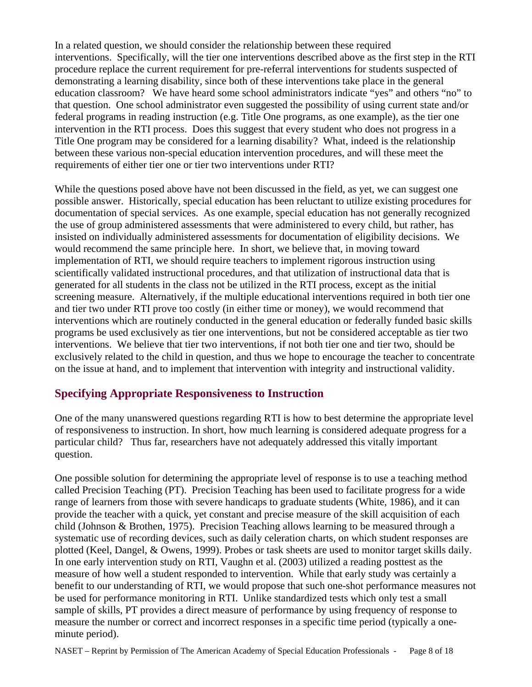In a related question, we should consider the relationship between these required interventions. Specifically, will the tier one interventions described above as the first step in the RTI procedure replace the current requirement for pre-referral interventions for students suspected of demonstrating a learning disability, since both of these interventions take place in the general education classroom? We have heard some school administrators indicate "yes" and others "no" to that question. One school administrator even suggested the possibility of using current state and/or federal programs in reading instruction (e.g. Title One programs, as one example), as the tier one intervention in the RTI process. Does this suggest that every student who does not progress in a Title One program may be considered for a learning disability? What, indeed is the relationship between these various non-special education intervention procedures, and will these meet the requirements of either tier one or tier two interventions under RTI?

While the questions posed above have not been discussed in the field, as yet, we can suggest one possible answer. Historically, special education has been reluctant to utilize existing procedures for documentation of special services. As one example, special education has not generally recognized the use of group administered assessments that were administered to every child, but rather, has insisted on individually administered assessments for documentation of eligibility decisions. We would recommend the same principle here. In short, we believe that, in moving toward implementation of RTI, we should require teachers to implement rigorous instruction using scientifically validated instructional procedures, and that utilization of instructional data that is generated for all students in the class not be utilized in the RTI process, except as the initial screening measure. Alternatively, if the multiple educational interventions required in both tier one and tier two under RTI prove too costly (in either time or money), we would recommend that interventions which are routinely conducted in the general education or federally funded basic skills programs be used exclusively as tier one interventions, but not be considered acceptable as tier two interventions. We believe that tier two interventions, if not both tier one and tier two, should be exclusively related to the child in question, and thus we hope to encourage the teacher to concentrate on the issue at hand, and to implement that intervention with integrity and instructional validity.

## **Specifying Appropriate Responsiveness to Instruction**

One of the many unanswered questions regarding RTI is how to best determine the appropriate level of responsiveness to instruction. In short, how much learning is considered adequate progress for a particular child? Thus far, researchers have not adequately addressed this vitally important question.

One possible solution for determining the appropriate level of response is to use a teaching method called Precision Teaching (PT). Precision Teaching has been used to facilitate progress for a wide range of learners from those with severe handicaps to graduate students (White, 1986), and it can provide the teacher with a quick, yet constant and precise measure of the skill acquisition of each child (Johnson & Brothen, 1975). Precision Teaching allows learning to be measured through a systematic use of recording devices, such as daily celeration charts, on which student responses are plotted (Keel, Dangel, & Owens, 1999). Probes or task sheets are used to monitor target skills daily. In one early intervention study on RTI, Vaughn et al. (2003) utilized a reading posttest as the measure of how well a student responded to intervention. While that early study was certainly a benefit to our understanding of RTI, we would propose that such one-shot performance measures not be used for performance monitoring in RTI. Unlike standardized tests which only test a small sample of skills, PT provides a direct measure of performance by using frequency of response to measure the number or correct and incorrect responses in a specific time period (typically a oneminute period).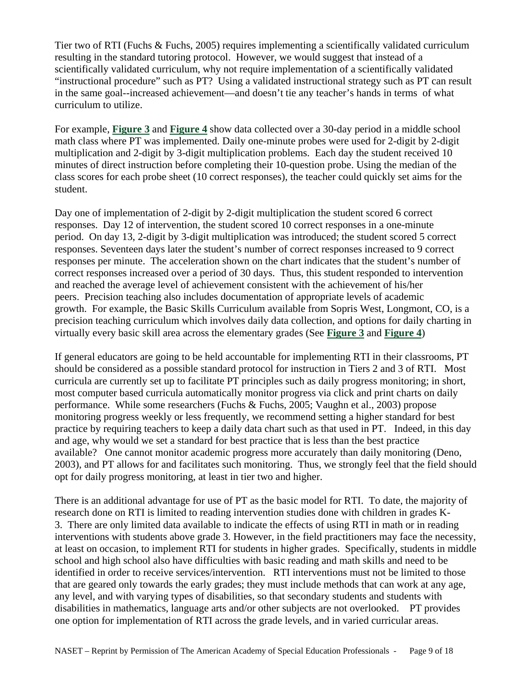Tier two of RTI (Fuchs & Fuchs, 2005) requires implementing a scientifically validated curriculum resulting in the standard tutoring protocol. However, we would suggest that instead of a scientifically validated curriculum, why not require implementation of a scientifically validated "instructional procedure" such as PT? Using a validated instructional strategy such as PT can result in the same goal--increased achievement—and doesn't tie any teacher's hands in terms of what curriculum to utilize.

For example, **[Figure 3](#page-15-0)** and **[Figure 4](#page-15-0)** show data collected over a 30-day period in a middle school math class where PT was implemented. Daily one-minute probes were used for 2-digit by 2-digit multiplication and 2-digit by 3-digit multiplication problems. Each day the student received 10 minutes of direct instruction before completing their 10-question probe. Using the median of the class scores for each probe sheet (10 correct responses), the teacher could quickly set aims for the student.

Day one of implementation of 2-digit by 2-digit multiplication the student scored 6 correct responses. Day 12 of intervention, the student scored 10 correct responses in a one-minute period. On day 13, 2-digit by 3-digit multiplication was introduced; the student scored 5 correct responses. Seventeen days later the student's number of correct responses increased to 9 correct responses per minute. The acceleration shown on the chart indicates that the student's number of correct responses increased over a period of 30 days. Thus, this student responded to intervention and reached the average level of achievement consistent with the achievement of his/her peers. Precision teaching also includes documentation of appropriate levels of academic growth. For example, the Basic Skills Curriculum available from Sopris West, Longmont, CO, is a precision teaching curriculum which involves daily data collection, and options for daily charting in virtually every basic skill area across the elementary grades (See **[Figure 3](#page-15-0)** and **[Figure 4](#page-15-0)**)

If general educators are going to be held accountable for implementing RTI in their classrooms, PT should be considered as a possible standard protocol for instruction in Tiers 2 and 3 of RTI. Most curricula are currently set up to facilitate PT principles such as daily progress monitoring; in short, most computer based curricula automatically monitor progress via click and print charts on daily performance. While some researchers (Fuchs & Fuchs, 2005; Vaughn et al., 2003) propose monitoring progress weekly or less frequently, we recommend setting a higher standard for best practice by requiring teachers to keep a daily data chart such as that used in PT. Indeed, in this day and age, why would we set a standard for best practice that is less than the best practice available? One cannot monitor academic progress more accurately than daily monitoring (Deno, 2003), and PT allows for and facilitates such monitoring. Thus, we strongly feel that the field should opt for daily progress monitoring, at least in tier two and higher.

There is an additional advantage for use of PT as the basic model for RTI. To date, the majority of research done on RTI is limited to reading intervention studies done with children in grades K-3. There are only limited data available to indicate the effects of using RTI in math or in reading interventions with students above grade 3. However, in the field practitioners may face the necessity, at least on occasion, to implement RTI for students in higher grades. Specifically, students in middle school and high school also have difficulties with basic reading and math skills and need to be identified in order to receive services/intervention. RTI interventions must not be limited to those that are geared only towards the early grades; they must include methods that can work at any age, any level, and with varying types of disabilities, so that secondary students and students with disabilities in mathematics, language arts and/or other subjects are not overlooked. PT provides one option for implementation of RTI across the grade levels, and in varied curricular areas.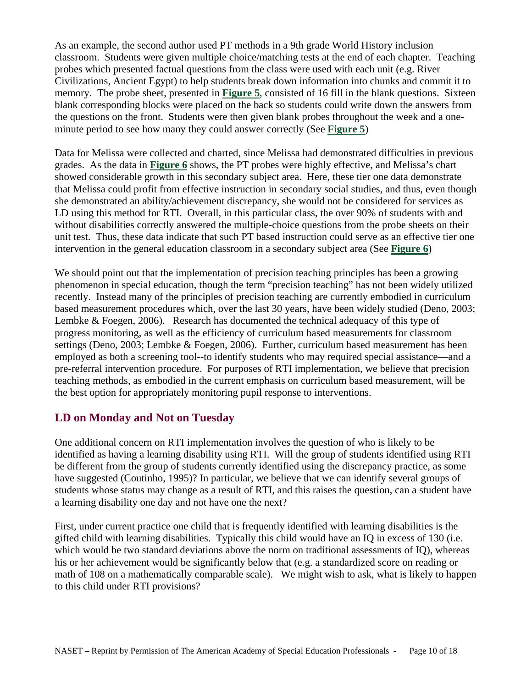As an example, the second author used PT methods in a 9th grade World History inclusion classroom. Students were given multiple choice/matching tests at the end of each chapter. Teaching probes which presented factual questions from the class were used with each unit (e.g. River Civilizations, Ancient Egypt) to help students break down information into chunks and commit it to memory. The probe sheet, presented in **[Figure 5](#page-16-0)**, consisted of 16 fill in the blank questions. Sixteen blank corresponding blocks were placed on the back so students could write down the answers from the questions on the front. Students were then given blank probes throughout the week and a oneminute period to see how many they could answer correctly (See **[Figure 5](#page-16-0)**)

Data for Melissa were collected and charted, since Melissa had demonstrated difficulties in previous grades. As the data in **[Figure 6](#page-16-0)** shows, the PT probes were highly effective, and Melissa's chart showed considerable growth in this secondary subject area. Here, these tier one data demonstrate that Melissa could profit from effective instruction in secondary social studies, and thus, even though she demonstrated an ability/achievement discrepancy, she would not be considered for services as LD using this method for RTI. Overall, in this particular class, the over 90% of students with and without disabilities correctly answered the multiple-choice questions from the probe sheets on their unit test. Thus, these data indicate that such PT based instruction could serve as an effective tier one intervention in the general education classroom in a secondary subject area (See **[Figure 6](#page-16-0)**)

We should point out that the implementation of precision teaching principles has been a growing phenomenon in special education, though the term "precision teaching" has not been widely utilized recently. Instead many of the principles of precision teaching are currently embodied in curriculum based measurement procedures which, over the last 30 years, have been widely studied (Deno, 2003; Lembke & Foegen, 2006). Research has documented the technical adequacy of this type of progress monitoring, as well as the efficiency of curriculum based measurements for classroom settings (Deno, 2003; Lembke & Foegen, 2006). Further, curriculum based measurement has been employed as both a screening tool--to identify students who may required special assistance—and a pre-referral intervention procedure. For purposes of RTI implementation, we believe that precision teaching methods, as embodied in the current emphasis on curriculum based measurement, will be the best option for appropriately monitoring pupil response to interventions.

### **LD on Monday and Not on Tuesday**

One additional concern on RTI implementation involves the question of who is likely to be identified as having a learning disability using RTI. Will the group of students identified using RTI be different from the group of students currently identified using the discrepancy practice, as some have suggested (Coutinho, 1995)? In particular, we believe that we can identify several groups of students whose status may change as a result of RTI, and this raises the question, can a student have a learning disability one day and not have one the next?

First, under current practice one child that is frequently identified with learning disabilities is the gifted child with learning disabilities. Typically this child would have an IQ in excess of 130 (i.e. which would be two standard deviations above the norm on traditional assessments of IQ), whereas his or her achievement would be significantly below that (e.g. a standardized score on reading or math of 108 on a mathematically comparable scale). We might wish to ask, what is likely to happen to this child under RTI provisions?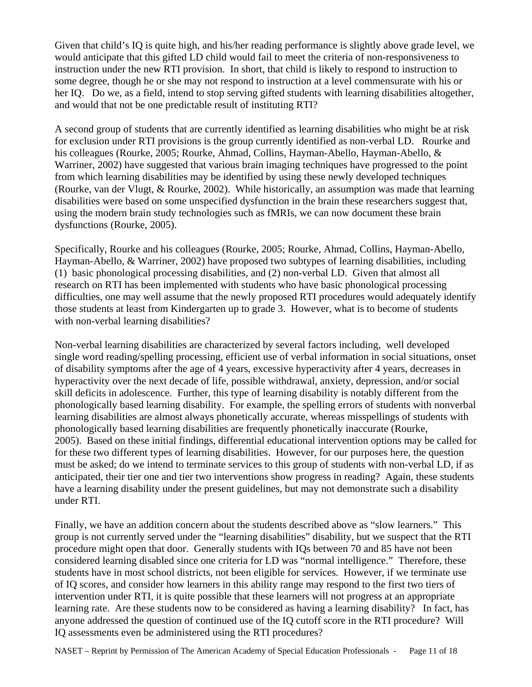Given that child's IQ is quite high, and his/her reading performance is slightly above grade level, we would anticipate that this gifted LD child would fail to meet the criteria of non-responsiveness to instruction under the new RTI provision. In short, that child is likely to respond to instruction to some degree, though he or she may not respond to instruction at a level commensurate with his or her IQ. Do we, as a field, intend to stop serving gifted students with learning disabilities altogether, and would that not be one predictable result of instituting RTI?

A second group of students that are currently identified as learning disabilities who might be at risk for exclusion under RTI provisions is the group currently identified as non-verbal LD. Rourke and his colleagues (Rourke, 2005; Rourke, Ahmad, Collins, Hayman-Abello, Hayman-Abello, & Warriner, 2002) have suggested that various brain imaging techniques have progressed to the point from which learning disabilities may be identified by using these newly developed techniques (Rourke, van der Vlugt, & Rourke, 2002). While historically, an assumption was made that learning disabilities were based on some unspecified dysfunction in the brain these researchers suggest that, using the modern brain study technologies such as fMRIs, we can now document these brain dysfunctions (Rourke, 2005).

Specifically, Rourke and his colleagues (Rourke, 2005; Rourke, Ahmad, Collins, Hayman-Abello, Hayman-Abello, & Warriner, 2002) have proposed two subtypes of learning disabilities, including (1) basic phonological processing disabilities, and (2) non-verbal LD. Given that almost all research on RTI has been implemented with students who have basic phonological processing difficulties, one may well assume that the newly proposed RTI procedures would adequately identify those students at least from Kindergarten up to grade 3. However, what is to become of students with non-verbal learning disabilities?

Non-verbal learning disabilities are characterized by several factors including, well developed single word reading/spelling processing, efficient use of verbal information in social situations, onset of disability symptoms after the age of 4 years, excessive hyperactivity after 4 years, decreases in hyperactivity over the next decade of life, possible withdrawal, anxiety, depression, and/or social skill deficits in adolescence. Further, this type of learning disability is notably different from the phonologically based learning disability. For example, the spelling errors of students with nonverbal learning disabilities are almost always phonetically accurate, whereas misspellings of students with phonologically based learning disabilities are frequently phonetically inaccurate (Rourke, 2005). Based on these initial findings, differential educational intervention options may be called for for these two different types of learning disabilities. However, for our purposes here, the question must be asked; do we intend to terminate services to this group of students with non-verbal LD, if as anticipated, their tier one and tier two interventions show progress in reading? Again, these students have a learning disability under the present guidelines, but may not demonstrate such a disability under RTI.

Finally, we have an addition concern about the students described above as "slow learners." This group is not currently served under the "learning disabilities" disability, but we suspect that the RTI procedure might open that door. Generally students with IQs between 70 and 85 have not been considered learning disabled since one criteria for LD was "normal intelligence." Therefore, these students have in most school districts, not been eligible for services. However, if we terminate use of IQ scores, and consider how learners in this ability range may respond to the first two tiers of intervention under RTI, it is quite possible that these learners will not progress at an appropriate learning rate. Are these students now to be considered as having a learning disability? In fact, has anyone addressed the question of continued use of the IQ cutoff score in the RTI procedure? Will IQ assessments even be administered using the RTI procedures?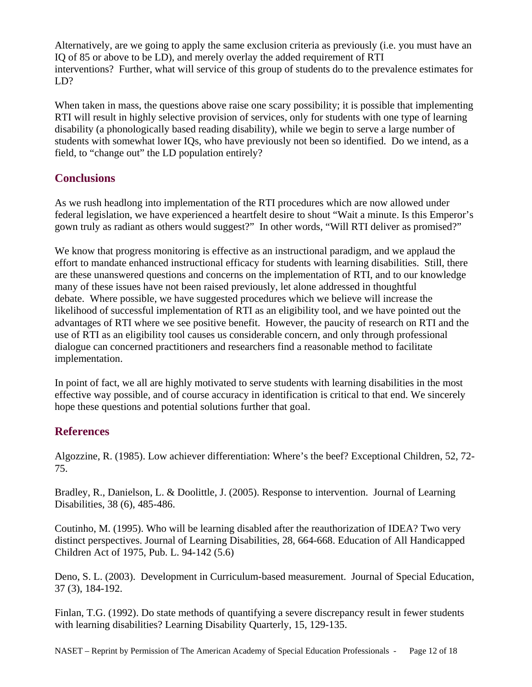Alternatively, are we going to apply the same exclusion criteria as previously (i.e. you must have an IQ of 85 or above to be LD), and merely overlay the added requirement of RTI interventions? Further, what will service of this group of students do to the prevalence estimates for LD?

When taken in mass, the questions above raise one scary possibility; it is possible that implementing RTI will result in highly selective provision of services, only for students with one type of learning disability (a phonologically based reading disability), while we begin to serve a large number of students with somewhat lower IQs, who have previously not been so identified. Do we intend, as a field, to "change out" the LD population entirely?

### **Conclusions**

As we rush headlong into implementation of the RTI procedures which are now allowed under federal legislation, we have experienced a heartfelt desire to shout "Wait a minute. Is this Emperor's gown truly as radiant as others would suggest?" In other words, "Will RTI deliver as promised?"

We know that progress monitoring is effective as an instructional paradigm, and we applaud the effort to mandate enhanced instructional efficacy for students with learning disabilities. Still, there are these unanswered questions and concerns on the implementation of RTI, and to our knowledge many of these issues have not been raised previously, let alone addressed in thoughtful debate. Where possible, we have suggested procedures which we believe will increase the likelihood of successful implementation of RTI as an eligibility tool, and we have pointed out the advantages of RTI where we see positive benefit. However, the paucity of research on RTI and the use of RTI as an eligibility tool causes us considerable concern, and only through professional dialogue can concerned practitioners and researchers find a reasonable method to facilitate implementation.

In point of fact, we all are highly motivated to serve students with learning disabilities in the most effective way possible, and of course accuracy in identification is critical to that end. We sincerely hope these questions and potential solutions further that goal.

## **References**

Algozzine, R. (1985). Low achiever differentiation: Where's the beef? Exceptional Children, 52, 72- 75.

Bradley, R., Danielson, L. & Doolittle, J. (2005). Response to intervention. Journal of Learning Disabilities, 38 (6), 485-486.

Coutinho, M. (1995). Who will be learning disabled after the reauthorization of IDEA? Two very distinct perspectives. Journal of Learning Disabilities, 28, 664-668. Education of All Handicapped Children Act of 1975, Pub. L. 94-142 (5.6)

Deno, S. L. (2003). Development in Curriculum-based measurement. Journal of Special Education, 37 (3), 184-192.

Finlan, T.G. (1992). Do state methods of quantifying a severe discrepancy result in fewer students with learning disabilities? Learning Disability Quarterly, 15, 129-135.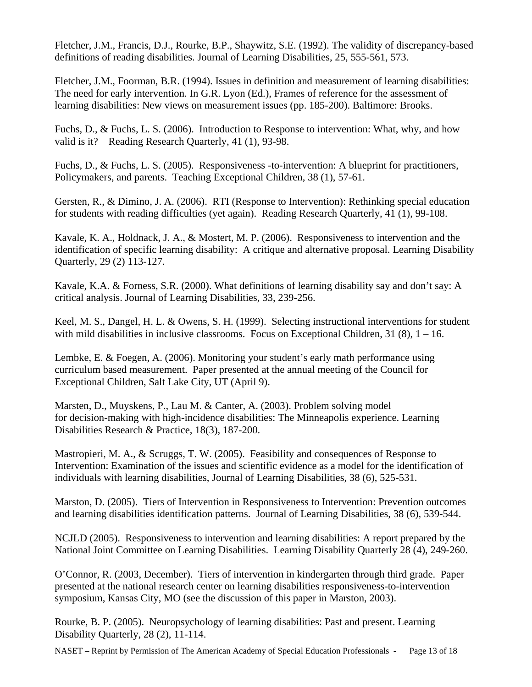Fletcher, J.M., Francis, D.J., Rourke, B.P., Shaywitz, S.E. (1992). The validity of discrepancy-based definitions of reading disabilities. Journal of Learning Disabilities, 25, 555-561, 573.

Fletcher, J.M., Foorman, B.R. (1994). Issues in definition and measurement of learning disabilities: The need for early intervention. In G.R. Lyon (Ed.), Frames of reference for the assessment of learning disabilities: New views on measurement issues (pp. 185-200). Baltimore: Brooks.

Fuchs, D., & Fuchs, L. S. (2006). Introduction to Response to intervention: What, why, and how valid is it? Reading Research Quarterly, 41 (1), 93-98.

Fuchs, D., & Fuchs, L. S. (2005). Responsiveness -to-intervention: A blueprint for practitioners, Policymakers, and parents. Teaching Exceptional Children, 38 (1), 57-61.

Gersten, R., & Dimino, J. A. (2006). RTI (Response to Intervention): Rethinking special education for students with reading difficulties (yet again). Reading Research Quarterly, 41 (1), 99-108.

Kavale, K. A., Holdnack, J. A., & Mostert, M. P. (2006). Responsiveness to intervention and the identification of specific learning disability: A critique and alternative proposal. Learning Disability Quarterly, 29 (2) 113-127.

Kavale, K.A. & Forness, S.R. (2000). What definitions of learning disability say and don't say: A critical analysis. Journal of Learning Disabilities, 33, 239-256.

Keel, M. S., Dangel, H. L. & Owens, S. H. (1999). Selecting instructional interventions for student with mild disabilities in inclusive classrooms. Focus on Exceptional Children,  $31(8)$ ,  $1 - 16$ .

Lembke, E. & Foegen, A. (2006). Monitoring your student's early math performance using curriculum based measurement. Paper presented at the annual meeting of the Council for Exceptional Children, Salt Lake City, UT (April 9).

Marsten, D., Muyskens, P., Lau M. & Canter, A. (2003). Problem solving model for decision-making with high-incidence disabilities: The Minneapolis experience. Learning Disabilities Research & Practice, 18(3), 187-200.

Mastropieri, M. A., & Scruggs, T. W. (2005). Feasibility and consequences of Response to Intervention: Examination of the issues and scientific evidence as a model for the identification of individuals with learning disabilities, Journal of Learning Disabilities, 38 (6), 525-531.

Marston, D. (2005). Tiers of Intervention in Responsiveness to Intervention: Prevention outcomes and learning disabilities identification patterns. Journal of Learning Disabilities, 38 (6), 539-544.

NCJLD (2005). Responsiveness to intervention and learning disabilities: A report prepared by the National Joint Committee on Learning Disabilities. Learning Disability Quarterly 28 (4), 249-260.

O'Connor, R. (2003, December). Tiers of intervention in kindergarten through third grade. Paper presented at the national research center on learning disabilities responsiveness-to-intervention symposium, Kansas City, MO (see the discussion of this paper in Marston, 2003).

Rourke, B. P. (2005). Neuropsychology of learning disabilities: Past and present. Learning Disability Quarterly, 28 (2), 11-114.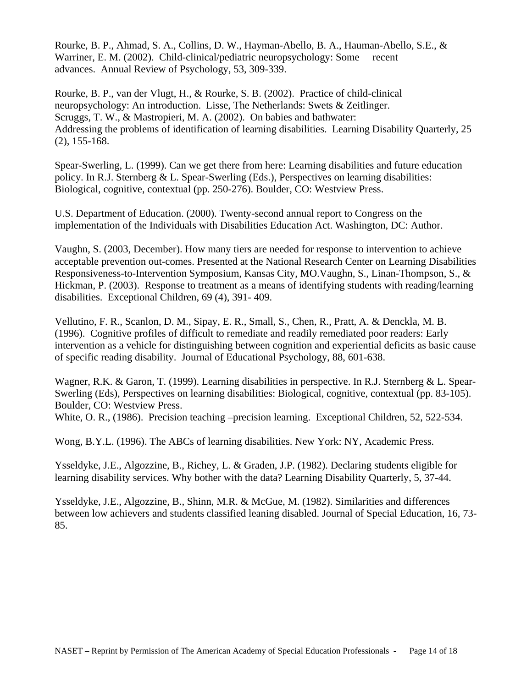Rourke, B. P., Ahmad, S. A., Collins, D. W., Hayman-Abello, B. A., Hauman-Abello, S.E., & Warriner, E. M. (2002). Child-clinical/pediatric neuropsychology: Some recent advances. Annual Review of Psychology, 53, 309-339.

Rourke, B. P., van der Vlugt, H., & Rourke, S. B. (2002). Practice of child-clinical neuropsychology: An introduction. Lisse, The Netherlands: Swets & Zeitlinger. Scruggs, T. W., & Mastropieri, M. A. (2002). On babies and bathwater: Addressing the problems of identification of learning disabilities. Learning Disability Quarterly, 25 (2), 155-168.

Spear-Swerling, L. (1999). Can we get there from here: Learning disabilities and future education policy. In R.J. Sternberg & L. Spear-Swerling (Eds.), Perspectives on learning disabilities: Biological, cognitive, contextual (pp. 250-276). Boulder, CO: Westview Press.

U.S. Department of Education. (2000). Twenty-second annual report to Congress on the implementation of the Individuals with Disabilities Education Act. Washington, DC: Author.

Vaughn, S. (2003, December). How many tiers are needed for response to intervention to achieve acceptable prevention out-comes. Presented at the National Research Center on Learning Disabilities Responsiveness-to-Intervention Symposium, Kansas City, MO.Vaughn, S., Linan-Thompson, S., & Hickman, P. (2003). Response to treatment as a means of identifying students with reading/learning disabilities. Exceptional Children, 69 (4), 391- 409.

Vellutino, F. R., Scanlon, D. M., Sipay, E. R., Small, S., Chen, R., Pratt, A. & Denckla, M. B. (1996). Cognitive profiles of difficult to remediate and readily remediated poor readers: Early intervention as a vehicle for distinguishing between cognition and experiential deficits as basic cause of specific reading disability. Journal of Educational Psychology, 88, 601-638.

Wagner, R.K. & Garon, T. (1999). Learning disabilities in perspective. In R.J. Sternberg & L. Spear-Swerling (Eds), Perspectives on learning disabilities: Biological, cognitive, contextual (pp. 83-105). Boulder, CO: Westview Press.

White, O. R., (1986). Precision teaching –precision learning. Exceptional Children, 52, 522-534.

Wong, B.Y.L. (1996). The ABCs of learning disabilities. New York: NY, Academic Press.

Ysseldyke, J.E., Algozzine, B., Richey, L. & Graden, J.P. (1982). Declaring students eligible for learning disability services. Why bother with the data? Learning Disability Quarterly, 5, 37-44.

Ysseldyke, J.E., Algozzine, B., Shinn, M.R. & McGue, M. (1982). Similarities and differences between low achievers and students classified leaning disabled. Journal of Special Education, 16, 73- 85.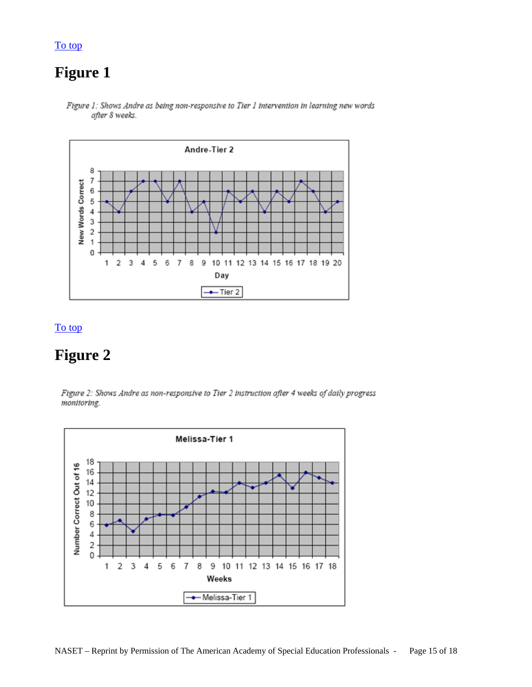# **Figure 1**

<span id="page-14-0"></span>[To top](#page-0-0)



Figure 1: Shows Andre as being non-responsive to Tier 1 intervention in learning new words after 8 weeks.

#### [To top](#page-0-0)

# **Figure 2**

Figure 2: Shows Andre as non-responsive to Tier 2 instruction after 4 weeks of daily progress monitoring.

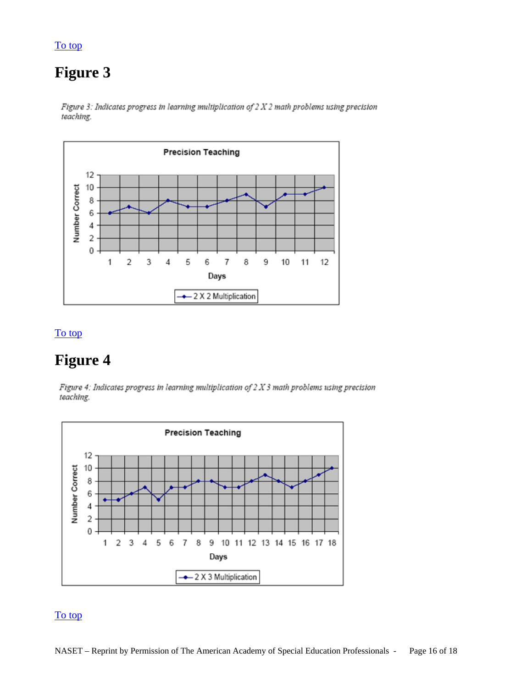### <span id="page-15-0"></span>[To top](#page-0-0)

# **Figure 3**

Figure 3: Indicates progress in learning multiplication of  $2 X 2$  math problems using precision teaching.



### To top

# **Figure 4**

Figure 4: Indicates progress in learning multiplication of  $2 X 3$  math problems using precision teaching.



### To top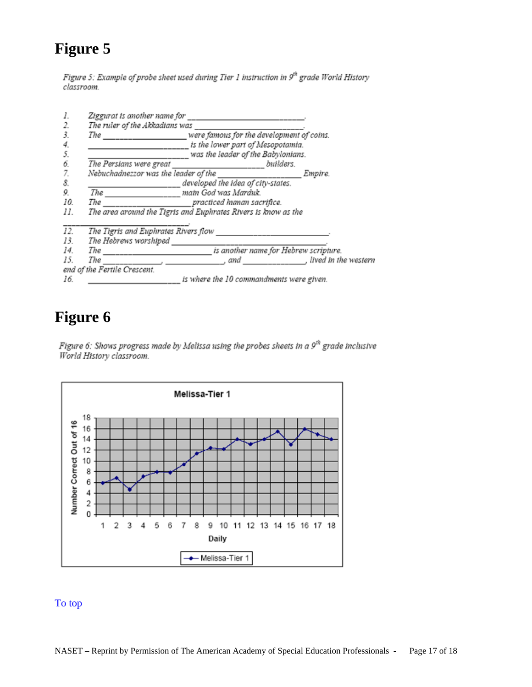# <span id="page-16-0"></span>**Figure 5**

Figure 5: Example of probe sheet used during Tier 1 instruction in 9th grade World History classroom.

|                                                                       | Ziggurat is another name for<br>The ruler of the Akkadians was |                                                                                                                      |                          |
|-----------------------------------------------------------------------|----------------------------------------------------------------|----------------------------------------------------------------------------------------------------------------------|--------------------------|
| 3.                                                                    | The                                                            | were famous for the development of coins.<br>is the lower part of Mesopotamia.<br>was the leader of the Babylonians. |                          |
| 4.                                                                    |                                                                |                                                                                                                      |                          |
|                                                                       |                                                                |                                                                                                                      |                          |
| 6                                                                     | The Persians were great                                        | builders.                                                                                                            |                          |
|                                                                       | Nebuchadnezzor was the leader of the                           |                                                                                                                      | Empire.                  |
| 8.                                                                    | developed the idea of city-states.                             |                                                                                                                      |                          |
| 9.                                                                    | The main God was Marduk.                                       |                                                                                                                      |                          |
| 10                                                                    | practiced human sacrifice.<br>The                              |                                                                                                                      |                          |
| The area around the Tigris and Euphrates Rivers is know as the<br>11. |                                                                |                                                                                                                      |                          |
| 12.                                                                   | The Tigris and Euphrates Rivers flow                           |                                                                                                                      |                          |
| 13.                                                                   | The Hebrews worshiped                                          |                                                                                                                      |                          |
| 14.                                                                   |                                                                |                                                                                                                      |                          |
| 15.                                                                   | The<br>the contract of the contract of                         |                                                                                                                      | and fived in the western |
|                                                                       | end of the Fertile Crescent.                                   |                                                                                                                      |                          |
| 16.                                                                   | is where the 10 commandments were given.                       |                                                                                                                      |                          |

# **Figure 6**

Figure 6: Shows progress made by Melissa using the probes sheets in a 9<sup>th</sup> grade inclusive World History classroom.



### [To top](#page-0-0)